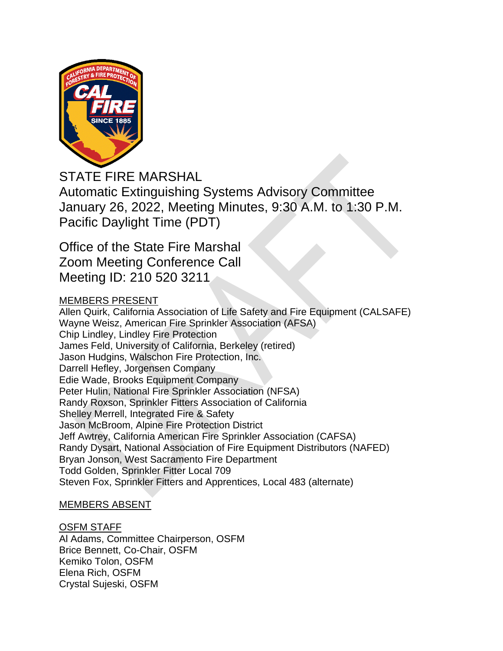

STATE FIRE MARSHAL Automatic Extinguishing Systems Advisory Committee January 26, 2022, Meeting Minutes, 9:30 A.M. to 1:30 P.M. Pacific Daylight Time (PDT)

Office of the State Fire Marshal Zoom Meeting Conference Call Meeting ID: 210 520 3211

# MEMBERS PRESENT

Allen Quirk, California Association of Life Safety and Fire Equipment (CALSAFE) Wayne Weisz, American Fire Sprinkler Association (AFSA) Chip Lindley, Lindley Fire Protection James Feld, University of California, Berkeley (retired) Jason Hudgins, Walschon Fire Protection, Inc. Darrell Hefley, Jorgensen Company Edie Wade, Brooks Equipment Company Peter Hulin, National Fire Sprinkler Association (NFSA) Randy Roxson, Sprinkler Fitters Association of California Shelley Merrell, Integrated Fire & Safety Jason McBroom, Alpine Fire Protection District Jeff Awtrey, California American Fire Sprinkler Association (CAFSA) Randy Dysart, National Association of Fire Equipment Distributors (NAFED) Bryan Jonson, West Sacramento Fire Department Todd Golden, Sprinkler Fitter Local 709 Steven Fox, Sprinkler Fitters and Apprentices, Local 483 (alternate)

# MEMBERS ABSENT

# OSFM STAFF

Al Adams, Committee Chairperson, OSFM Brice Bennett, Co-Chair, OSFM Kemiko Tolon, OSFM Elena Rich, OSFM Crystal Sujeski, OSFM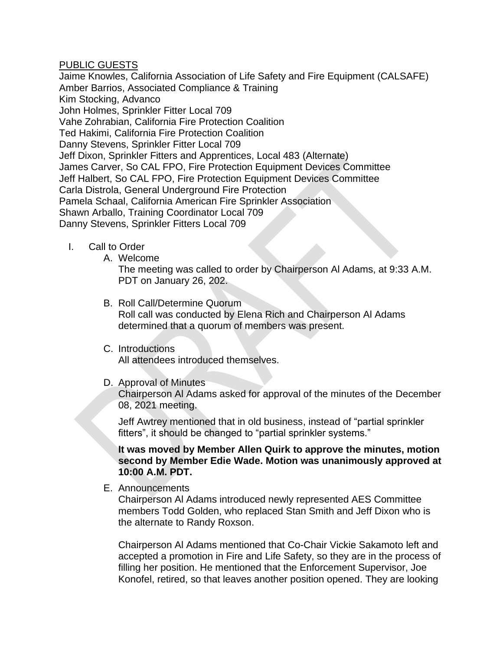## PUBLIC GUESTS

Jaime Knowles, California Association of Life Safety and Fire Equipment (CALSAFE) Amber Barrios, Associated Compliance & Training Kim Stocking, Advanco John Holmes, Sprinkler Fitter Local 709 Vahe Zohrabian, California Fire Protection Coalition Ted Hakimi, California Fire Protection Coalition Danny Stevens, Sprinkler Fitter Local 709 Jeff Dixon, Sprinkler Fitters and Apprentices, Local 483 (Alternate) James Carver, So CAL FPO, Fire Protection Equipment Devices Committee Jeff Halbert, So CAL FPO, Fire Protection Equipment Devices Committee Carla Distrola, General Underground Fire Protection Pamela Schaal, California American Fire Sprinkler Association Shawn Arballo, Training Coordinator Local 709 Danny Stevens, Sprinkler Fitters Local 709

- I. Call to Order
	- A. Welcome

The meeting was called to order by Chairperson Al Adams, at 9:33 A.M. PDT on January 26, 202.

- B. Roll Call/Determine Quorum Roll call was conducted by Elena Rich and Chairperson Al Adams determined that a quorum of members was present.
- C. Introductions

All attendees introduced themselves.

D. Approval of Minutes

Chairperson Al Adams asked for approval of the minutes of the December 08, 2021 meeting.

Jeff Awtrey mentioned that in old business, instead of "partial sprinkler fitters", it should be changed to "partial sprinkler systems."

**It was moved by Member Allen Quirk to approve the minutes, motion second by Member Edie Wade. Motion was unanimously approved at 10:00 A.M. PDT.**

E. Announcements

Chairperson Al Adams introduced newly represented AES Committee members Todd Golden, who replaced Stan Smith and Jeff Dixon who is the alternate to Randy Roxson.

Chairperson Al Adams mentioned that Co-Chair Vickie Sakamoto left and accepted a promotion in Fire and Life Safety, so they are in the process of filling her position. He mentioned that the Enforcement Supervisor, Joe Konofel, retired, so that leaves another position opened. They are looking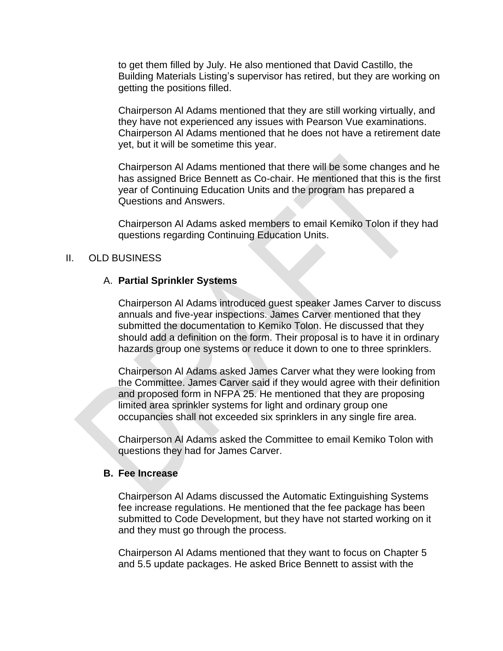to get them filled by July. He also mentioned that David Castillo, the Building Materials Listing's supervisor has retired, but they are working on getting the positions filled.

Chairperson Al Adams mentioned that they are still working virtually, and they have not experienced any issues with Pearson Vue examinations. Chairperson Al Adams mentioned that he does not have a retirement date yet, but it will be sometime this year.

Chairperson Al Adams mentioned that there will be some changes and he has assigned Brice Bennett as Co-chair. He mentioned that this is the first year of Continuing Education Units and the program has prepared a Questions and Answers.

Chairperson Al Adams asked members to email Kemiko Tolon if they had questions regarding Continuing Education Units.

## II. OLD BUSINESS

## A. **Partial Sprinkler Systems**

Chairperson Al Adams introduced guest speaker James Carver to discuss annuals and five-year inspections. James Carver mentioned that they submitted the documentation to Kemiko Tolon. He discussed that they should add a definition on the form. Their proposal is to have it in ordinary hazards group one systems or reduce it down to one to three sprinklers.

Chairperson Al Adams asked James Carver what they were looking from the Committee. James Carver said if they would agree with their definition and proposed form in NFPA 25. He mentioned that they are proposing limited area sprinkler systems for light and ordinary group one occupancies shall not exceeded six sprinklers in any single fire area.

Chairperson Al Adams asked the Committee to email Kemiko Tolon with questions they had for James Carver.

## **B. Fee Increase**

Chairperson Al Adams discussed the Automatic Extinguishing Systems fee increase regulations. He mentioned that the fee package has been submitted to Code Development, but they have not started working on it and they must go through the process.

Chairperson Al Adams mentioned that they want to focus on Chapter 5 and 5.5 update packages. He asked Brice Bennett to assist with the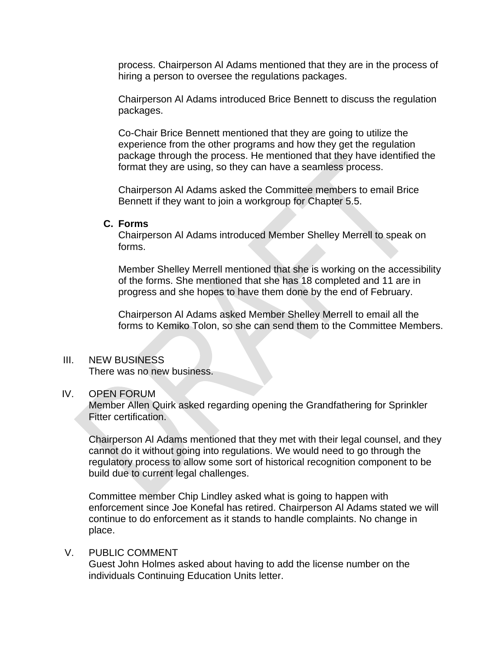process. Chairperson Al Adams mentioned that they are in the process of hiring a person to oversee the regulations packages.

Chairperson Al Adams introduced Brice Bennett to discuss the regulation packages.

Co-Chair Brice Bennett mentioned that they are going to utilize the experience from the other programs and how they get the regulation package through the process. He mentioned that they have identified the format they are using, so they can have a seamless process.

Chairperson Al Adams asked the Committee members to email Brice Bennett if they want to join a workgroup for Chapter 5.5.

#### **C. Forms**

Chairperson Al Adams introduced Member Shelley Merrell to speak on forms.

Member Shelley Merrell mentioned that she is working on the accessibility of the forms. She mentioned that she has 18 completed and 11 are in progress and she hopes to have them done by the end of February.

Chairperson Al Adams asked Member Shelley Merrell to email all the forms to Kemiko Tolon, so she can send them to the Committee Members.

## III. NEW BUSINESS

There was no new business.

## IV. OPEN FORUM

Member Allen Quirk asked regarding opening the Grandfathering for Sprinkler Fitter certification.

Chairperson Al Adams mentioned that they met with their legal counsel, and they cannot do it without going into regulations. We would need to go through the regulatory process to allow some sort of historical recognition component to be build due to current legal challenges.

Committee member Chip Lindley asked what is going to happen with enforcement since Joe Konefal has retired. Chairperson Al Adams stated we will continue to do enforcement as it stands to handle complaints. No change in place.

# V. PUBLIC COMMENT

Guest John Holmes asked about having to add the license number on the individuals Continuing Education Units letter.